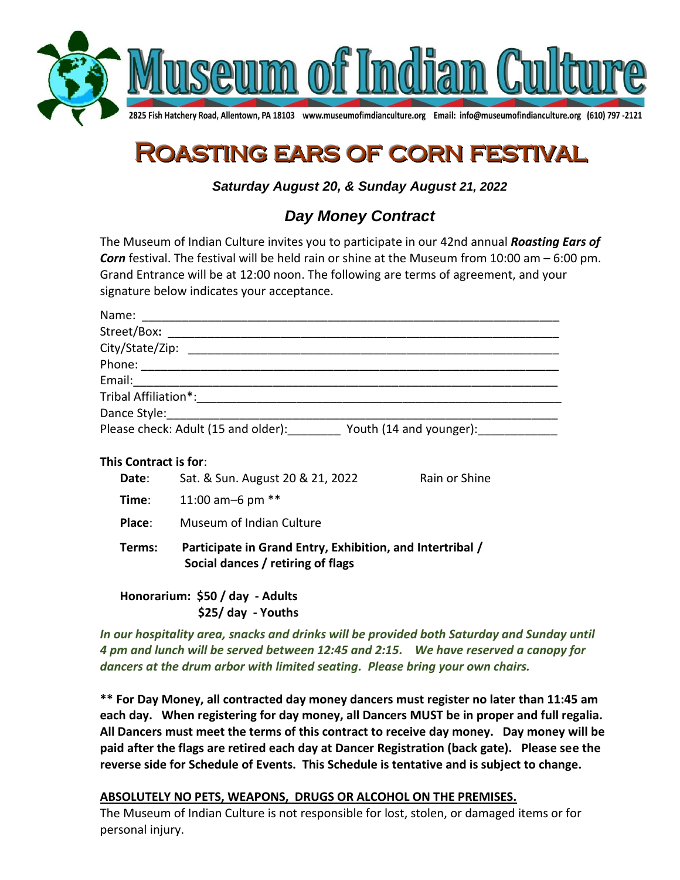

# **ROASTING EARS OF CORN FESTIVAL**

## *Saturday August 20, & Sunday August 21, 2022*

## *Day Money Contract*

The Museum of Indian Culture invites you to participate in our 42nd annual *Roasting Ears of Corn* festival. The festival will be held rain or shine at the Museum from 10:00 am – 6:00 pm. Grand Entrance will be at 12:00 noon. The following are terms of agreement, and your signature below indicates your acceptance.

| Name:                                                       |  |
|-------------------------------------------------------------|--|
| Street/Box: _________________                               |  |
| City/State/Zip:                                             |  |
| Phone: ____________                                         |  |
|                                                             |  |
| Tribal Affiliation*:                                        |  |
|                                                             |  |
| Please check: Adult (15 and older): Youth (14 and younger): |  |

#### **This Contract is for**:

| Date:  | Sat. & Sun. August 20 & 21, 2022                                                               | Rain or Shine |
|--------|------------------------------------------------------------------------------------------------|---------------|
| Time:  | 11:00 am-6 pm $**$                                                                             |               |
| Place: | Museum of Indian Culture                                                                       |               |
| Terms: | Participate in Grand Entry, Exhibition, and Intertribal /<br>Social dances / retiring of flags |               |

**Honorarium: \$50 / day - Adults \$25/ day - Youths** 

*In our hospitality area, snacks and drinks will be provided both Saturday and Sunday until 4 pm and lunch will be served between 12:45 and 2:15. We have reserved a canopy for dancers at the drum arbor with limited seating. Please bring your own chairs.* 

**\*\* For Day Money, all contracted day money dancers must register no later than 11:45 am each day. When registering for day money, all Dancers MUST be in proper and full regalia. All Dancers must meet the terms of this contract to receive day money. Day money will be paid after the flags are retired each day at Dancer Registration (back gate). Please see the reverse side for Schedule of Events. This Schedule is tentative and is subject to change.** 

### **ABSOLUTELY NO PETS, WEAPONS, DRUGS OR ALCOHOL ON THE PREMISES.**

The Museum of Indian Culture is not responsible for lost, stolen, or damaged items or for personal injury.